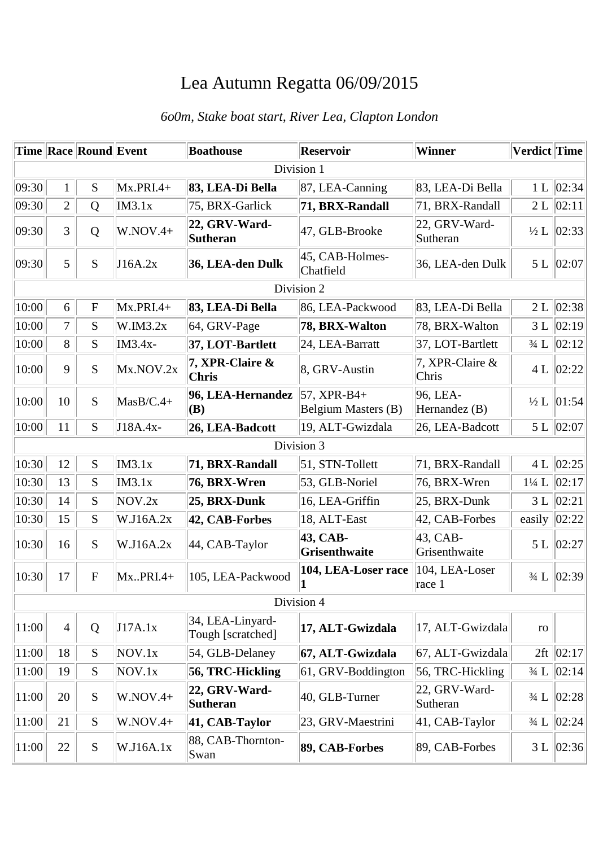## Lea Autumn Regatta 06/09/2015

## *6o0m, Stake boat start, River Lea, Clapton London*

|            |                | Time Race Round Event |              | <b>Boathouse</b>                      | <b>Reservoir</b>                     | Winner                       | Verdict Time     |              |  |
|------------|----------------|-----------------------|--------------|---------------------------------------|--------------------------------------|------------------------------|------------------|--------------|--|
| Division 1 |                |                       |              |                                       |                                      |                              |                  |              |  |
| 09:30      | $\mathbf{1}$   | S                     | $Mx.PRI.4+$  | 83, LEA-Di Bella                      | $ 87,$ LEA-Canning                   | 83, LEA-Di Bella             | 1 <sub>L</sub>   | 02:34        |  |
| 09:30      | $\overline{2}$ | Q                     | IM3.1x       | 75, BRX-Garlick                       | 71, BRX-Randall                      | 71, BRX-Randall              | 2L               | 02:11        |  |
| 09:30      | $\overline{3}$ | Q                     | $W.NOV.4+$   | 22, GRV-Ward-<br>Sutheran             | 47, GLB-Brooke                       | 22, GRV-Ward-<br>Sutheran    | $\frac{1}{2}$ L  | 02:33        |  |
| 09:30      | 5              | S                     | J16A.2x      | 36, LEA-den Dulk                      | 45, CAB-Holmes-<br>Chatfield         | 36, LEA-den Dulk             | 5 L              | 02:07        |  |
| Division 2 |                |                       |              |                                       |                                      |                              |                  |              |  |
| 10:00      | 6              | ${\bf F}$             | $Mx.PRI.4+$  | 83, LEA-Di Bella                      | 86, LEA-Packwood                     | 83, LEA-Di Bella             | 2L               | 02:38        |  |
| 10:00      | $\overline{7}$ | S                     | W.IM3.2x     | $64$ , GRV-Page                       | 78, BRX-Walton                       | 78, BRX-Walton               | 3L               | 02:19        |  |
| 10:00      | 8              | S                     | IM3.4x-      | 37, LOT-Bartlett                      | 24, LEA-Barratt                      | 37, LOT-Bartlett             | $\frac{3}{4}$ L  | 02:12        |  |
| 10:00      | 9              | ${\bf S}$             | Mx.NOV.2x    | 7, XPR-Claire &<br><b>Chris</b>       | 8, GRV-Austin                        | 7. XPR-Claire &<br>Chris     |                  | 4 L $ 02:22$ |  |
| 10:00      | 10             | S                     | $M$ asB/C.4+ | 96, LEA-Hernandez<br>(B)              | $57, XPR-B4+$<br>Belgium Masters (B) | 96, LEA-<br>Hernandez $(B)$  | $\frac{1}{2}$ L  | 01:54        |  |
| 10:00      | 11             | S                     | J18A.4x-     | 26, LEA-Badcott                       | 19, ALT-Gwizdala                     | 26, LEA-Badcott              |                  | 5 L 02:07    |  |
| Division 3 |                |                       |              |                                       |                                      |                              |                  |              |  |
| 10:30      | 12             | S                     | IM3.1x       | 71, BRX-Randall                       | $51, STN-Tollett$                    | 71, BRX-Randall              | 4L               | 02:25        |  |
| 10:30      | 13             | S                     | IM3.1x       | 76, BRX-Wren                          | 53, GLB-Noriel                       | 76, BRX-Wren                 | $1\frac{1}{4}$ L | 02:17        |  |
| 10:30      | 14             | S                     | NOV.2x       | 25, BRX-Dunk                          | 16, LEA-Griffin                      | 25, BRX-Dunk                 | 3L               | 02:21        |  |
| 10:30      | 15             | S                     | W.J16A.2x    | 42, CAB-Forbes                        | 18, ALT-East                         | 42, CAB-Forbes               | easily           | 02:22        |  |
| 10:30      | 16             | S                     | W.J16A.2x    | 44, CAB-Taylor                        | 43, CAB-<br>Grisenthwaite            | 43, CAB-<br>Grisenthwaite    |                  | 5 L 02:27    |  |
| 10:30      | 17             | ${\bf F}$             | $Mx.PRI.4+$  | 105, LEA-Packwood                     | 104, LEA-Loser race<br>1             | 104, LEA-Loser<br>race 1     | $\frac{3}{4}$ L  | 02:39        |  |
| Division 4 |                |                       |              |                                       |                                      |                              |                  |              |  |
| 11:00      | $\overline{4}$ | Q                     | J17A.1x      | 34, LEA-Linyard-<br>Tough [scratched] | 17, ALT-Gwizdala                     | 17, ALT-Gwizdala             | ${\rm ro}$       |              |  |
| 11:00      | 18             | S                     | NOV.1x       | 54, GLB-Delaney                       | 67, ALT-Gwizdala                     | 67, ALT-Gwizdala             |                  | $2ft$ 02:17  |  |
| 11:00      | 19             | S                     | NOV.1x       | 56, TRC-Hickling                      | 61, GRV-Boddington                   | 56, TRC-Hickling             | $3/4$ L          | 02:14        |  |
| 11:00      | 20             | ${\bf S}$             | $W.NOV.4+$   | 22, GRV-Ward-<br><b>Sutheran</b>      | 40, GLB-Turner                       | $ 22, GRV-Ward-$<br>Sutheran | $\frac{3}{4}$ L  | 02:28        |  |
| 11:00      | 21             | ${\bf S}$             | $W.NOV.4+$   | 41, CAB-Taylor                        | 23, GRV-Maestrini                    | $ 41, CAB-Taylor$            | $\frac{3}{4}$ L  | 02:24        |  |
| 11:00      | 22             | ${\bf S}$             | W.J16A.1x    | 88, CAB-Thornton-<br>Swan             | 89, CAB-Forbes                       | 89, CAB-Forbes               | 3L               | 02:36        |  |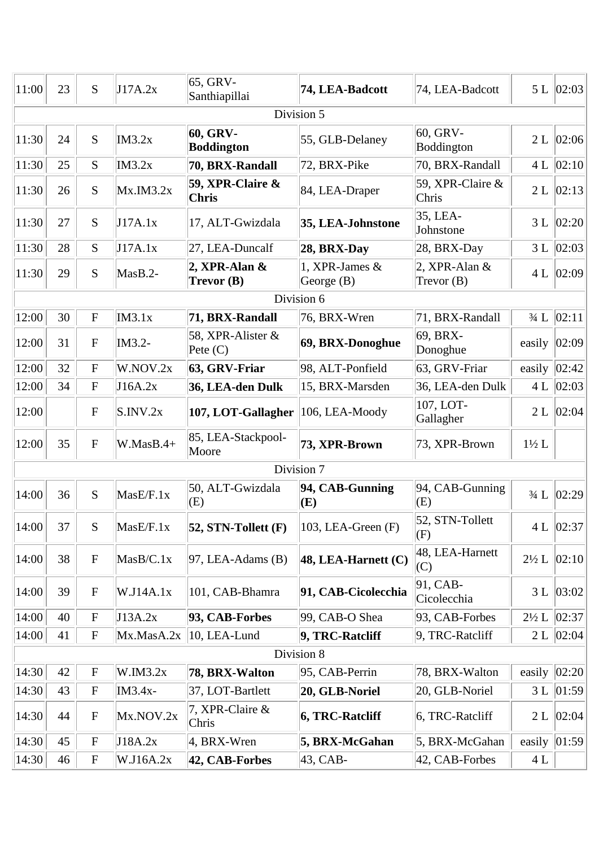| 11:00 | 23 | S                         | J17A.2x     | 65, GRV-<br>Santhiapillai       | 74, LEA-Badcott                  | 74, LEA-Badcott                  |                  | 5 L   02:03      |
|-------|----|---------------------------|-------------|---------------------------------|----------------------------------|----------------------------------|------------------|------------------|
|       |    |                           |             |                                 | Division 5                       |                                  |                  |                  |
| 11:30 | 24 | S                         | IM3.2x      | 60, GRV-<br><b>Boddington</b>   | 55, GLB-Delaney                  | $60,$ GRV-<br>Boddington         | 2L               | 02:06            |
| 11:30 | 25 | S                         | IM3.2x      | 70, BRX-Randall                 | 72, BRX-Pike                     | 70, BRX-Randall                  | 4L               | 02:10            |
| 11:30 | 26 | S                         | Mx.M3.2x    | 59, XPR-Claire &<br>Chris       | 84, LEA-Draper                   | 59, XPR-Claire $&$<br>Chris      |                  | 2 L   02:13      |
| 11:30 | 27 | S                         | J17A.1x     | 17, ALT-Gwizdala                | 35, LEA-Johnstone                | $35,LEA-$<br>Johnstone           | 3L               | 02:20            |
| 11:30 | 28 | S                         | J17A.1x     | 27, LEA-Duncalf                 | 28, BRX-Day                      | $ 28, BRX$ -Day                  | 3L               | 02:03            |
| 11:30 | 29 | S                         | MasB.2-     | 2, XPR-Alan $\&$<br>Trevor (B)  | 1, XPR-James $&$<br>George $(B)$ | 2, XPR-Alan $\&$<br>Trevor $(B)$ |                  | 4 L $ 02:09 $    |
|       |    |                           |             |                                 | Division 6                       |                                  |                  |                  |
| 12:00 | 30 | ${\bf F}$                 | IM3.1x      | 71, BRX-Randall                 | 76, BRX-Wren                     | 71, BRX-Randall                  | $3/4$ L          | 02:11            |
| 12:00 | 31 | ${\bf F}$                 | IM3.2-      | 58, XPR-Alister &<br>Pete $(C)$ | 69, BRX-Donoghue                 | 69, BRX-<br>Donoghue             | easily           | 02:09            |
| 12:00 | 32 | ${\bf F}$                 | W.NOV.2x    | 63, GRV-Friar                   | 98, ALT-Ponfield                 | 63, GRV-Friar                    | easily           | 02:42            |
| 12:00 | 34 | $\mathbf F$               | J16A.2x     | 36, LEA-den Dulk                | 15, BRX-Marsden                  | 36, LEA-den Dulk                 | 4L               | 02:03            |
| 12:00 |    | $\mathbf F$               | S.INV.2x    | 107, LOT-Gallagher              | 106, LEA-Moody                   | 107, LOT-<br>Gallagher           | 2L               | 02:04            |
| 12:00 | 35 | ${\bf F}$                 | $W.MasB.4+$ | 85, LEA-Stackpool-<br>Moore     | 73, XPR-Brown                    | 73, XPR-Brown                    | $1\frac{1}{2}$ L |                  |
|       |    |                           |             |                                 | Division 7                       |                                  |                  |                  |
| 14:00 | 36 | ${\bf S}$                 | MasE/F.1x   | 50, ALT-Gwizdala<br>(E)         | 94, CAB-Gunning<br>(E)           | $94, CAB-Ganning$<br>(E)         | $3/4$ L          | 02:29            |
| 14:00 | 37 | S                         | MasE/F.1x   | $ 52, STN-Tollett(F) $          | 103, LEA-Green $(F)$             | 52, STN-Tollett<br>(F)           |                  | 4 L $ 02:37 $    |
| 14:00 | 38 | ${\bf F}$                 | MasB/C.1x   | $97$ , LEA-Adams (B)            | 48, LEA-Harnett $(C)$            | 48, LEA-Harnett<br>(C)           | $2\frac{1}{2}$ L | 02:10            |
| 14:00 | 39 | ${\bf F}$                 | W.J14A.1x   | 101, CAB-Bhamra                 | 91, CAB-Cicolecchia              | 91, CAB<br>Cicolecchia           |                  | 3 L   03:02      |
| 14:00 | 40 | $\boldsymbol{F}$          | J13A.2x     | 93, CAB-Forbes                  | 99, CAB-O Shea                   | 93, CAB-Forbes                   | $2\frac{1}{2} L$ | 02:37            |
| 14:00 | 41 | $\mathbf F$               | Mx.MasA.2x  | 10, LEA-Lund                    | 9, TRC-Ratcliff                  | $9,$ TRC-Ratcliff                | 2L               | 02:04            |
|       |    |                           |             |                                 | Division 8                       |                                  |                  |                  |
| 14:30 | 42 | ${\bf F}$                 | W.IM3.2x    | 78, BRX-Walton                  | 95, CAB-Perrin                   | 78, BRX-Walton                   |                  | easily $ 02:20 $ |
| 14:30 | 43 | $\boldsymbol{F}$          | IM3.4x-     | 37, LOT-Bartlett                | 20, GLB-Noriel                   | 20, GLB-Noriel                   | 3L               | 01:59            |
| 14:30 | 44 | ${\bf F}$                 | Mx.NOV.2x   | 7, XPR-Claire &<br>Chris        | 6, TRC-Ratcliff                  | $6,$ TRC-Ratcliff                | 2L               | 02:04            |
| 14:30 | 45 | $\boldsymbol{F}$          | J18A.2x     | 4, BRX-Wren                     | 5, BRX-McGahan                   | 5, BRX-McGahan                   | easily           | 01:59            |
| 14:30 | 46 | $\boldsymbol{\mathrm{F}}$ | W.J16A.2x   | 42, CAB-Forbes                  | 43, CAB-                         | 42, CAB-Forbes                   | 4 L              |                  |